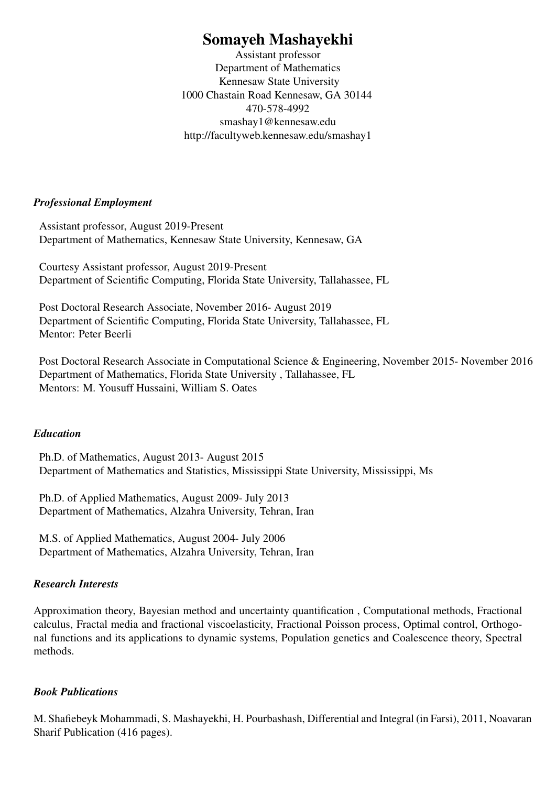# Somayeh Mashayekhi

Assistant professor Department of Mathematics Kennesaw State University 1000 Chastain Road Kennesaw, GA 30144 470-578-4992 smashay1@kennesaw.edu http://facultyweb.kennesaw.edu/smashay1

#### *Professional Employment*

Assistant professor, August 2019-Present Department of Mathematics, Kennesaw State University, Kennesaw, GA

Courtesy Assistant professor, August 2019-Present Department of Scientific Computing, Florida State University, Tallahassee, FL

Post Doctoral Research Associate, November 2016- August 2019 Department of Scientific Computing, Florida State University, Tallahassee, FL Mentor: Peter Beerli

Post Doctoral Research Associate in Computational Science & Engineering, November 2015- November 2016 Department of Mathematics, Florida State University , Tallahassee, FL Mentors: M. Yousuff Hussaini, William S. Oates

#### *Education*

Ph.D. of Mathematics, August 2013- August 2015 Department of Mathematics and Statistics, Mississippi State University, Mississippi, Ms

Ph.D. of Applied Mathematics, August 2009- July 2013 Department of Mathematics, Alzahra University, Tehran, Iran

M.S. of Applied Mathematics, August 2004- July 2006 Department of Mathematics, Alzahra University, Tehran, Iran

#### *Research Interests*

Approximation theory, Bayesian method and uncertainty quantification , Computational methods, Fractional calculus, Fractal media and fractional viscoelasticity, Fractional Poisson process, Optimal control, Orthogonal functions and its applications to dynamic systems, Population genetics and Coalescence theory, Spectral methods.

#### *Book Publications*

M. Shafiebeyk Mohammadi, S. Mashayekhi, H. Pourbashash, Differential and Integral (in Farsi), 2011, Noavaran Sharif Publication (416 pages).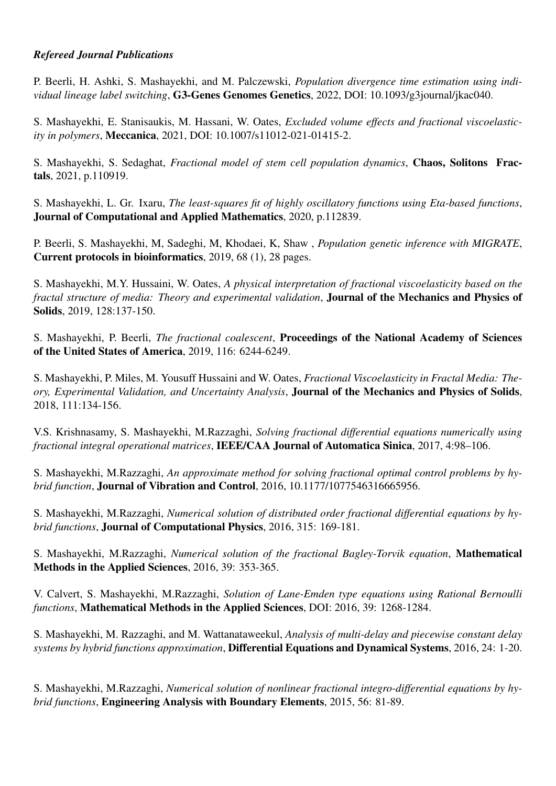### *Refereed Journal Publications*

P. Beerli, H. Ashki, S. Mashayekhi, and M. Palczewski, *Population divergence time estimation using individual lineage label switching*, G3-Genes Genomes Genetics, 2022, DOI: 10.1093/g3journal/jkac040.

S. Mashayekhi, E. Stanisaukis, M. Hassani, W. Oates, *Excluded volume effects and fractional viscoelasticity in polymers*, Meccanica, 2021, DOI: 10.1007/s11012-021-01415-2.

S. Mashayekhi, S. Sedaghat, *Fractional model of stem cell population dynamics*, Chaos, Solitons Fractals, 2021, p.110919.

S. Mashayekhi, L. Gr. Ixaru, *The least-squares fit of highly oscillatory functions using Eta-based functions*, Journal of Computational and Applied Mathematics, 2020, p.112839.

P. Beerli, S. Mashayekhi, M, Sadeghi, M, Khodaei, K, Shaw , *Population genetic inference with MIGRATE*, Current protocols in bioinformatics, 2019, 68 (1), 28 pages.

S. Mashayekhi, M.Y. Hussaini, W. Oates, *A physical interpretation of fractional viscoelasticity based on the fractal structure of media: Theory and experimental validation*, Journal of the Mechanics and Physics of Solids, 2019, 128:137-150.

S. Mashayekhi, P. Beerli, *The fractional coalescent*, Proceedings of the National Academy of Sciences of the United States of America, 2019, 116: 6244-6249.

S. Mashayekhi, P. Miles, M. Yousuff Hussaini and W. Oates, *Fractional Viscoelasticity in Fractal Media: Theory, Experimental Validation, and Uncertainty Analysis*, Journal of the Mechanics and Physics of Solids, 2018, 111:134-156.

V.S. Krishnasamy, S. Mashayekhi, M.Razzaghi, *Solving fractional differential equations numerically using fractional integral operational matrices*, IEEE/CAA Journal of Automatica Sinica, 2017, 4:98–106.

S. Mashayekhi, M.Razzaghi, *An approximate method for solving fractional optimal control problems by hybrid function*, Journal of Vibration and Control, 2016, 10.1177/1077546316665956.

S. Mashayekhi, M.Razzaghi, *Numerical solution of distributed order fractional differential equations by hybrid functions*, Journal of Computational Physics, 2016, 315: 169-181.

S. Mashayekhi, M.Razzaghi, *Numerical solution of the fractional Bagley-Torvik equation*, Mathematical Methods in the Applied Sciences, 2016, 39: 353-365.

V. Calvert, S. Mashayekhi, M.Razzaghi, *Solution of Lane-Emden type equations using Rational Bernoulli functions*, Mathematical Methods in the Applied Sciences, DOI: 2016, 39: 1268-1284.

S. Mashayekhi, M. Razzaghi, and M. Wattanataweekul, *Analysis of multi-delay and piecewise constant delay systems by hybrid functions approximation*, Differential Equations and Dynamical Systems, 2016, 24: 1-20.

S. Mashayekhi, M.Razzaghi, *Numerical solution of nonlinear fractional integro-differential equations by hybrid functions*, Engineering Analysis with Boundary Elements, 2015, 56: 81-89.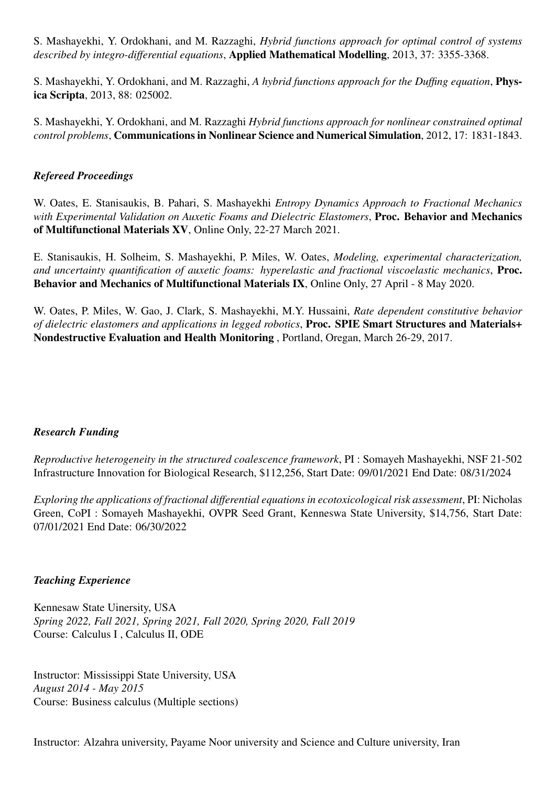S. Mashayekhi, Y. Ordokhani, and M. Razzaghi, *Hybrid functions approach for optimal control of systems described by integro-differential equations*, Applied Mathematical Modelling, 2013, 37: 3355-3368.

S. Mashayekhi, Y. Ordokhani, and M. Razzaghi, *A hybrid functions approach for the Duffing equation*, Physica Scripta, 2013, 88: 025002.

S. Mashayekhi, Y. Ordokhani, and M. Razzaghi *Hybrid functions approach for nonlinear constrained optimal control problems*, Communications in Nonlinear Science and Numerical Simulation, 2012, 17: 1831-1843.

#### *Refereed Proceedings*

W. Oates, E. Stanisaukis, B. Pahari, S. Mashayekhi *Entropy Dynamics Approach to Fractional Mechanics with Experimental Validation on Auxetic Foams and Dielectric Elastomers*, Proc. Behavior and Mechanics of Multifunctional Materials XV, Online Only, 22-27 March 2021.

E. Stanisaukis, H. Solheim, S. Mashayekhi, P. Miles, W. Oates, *Modeling, experimental characterization, and uncertainty quantification of auxetic foams: hyperelastic and fractional viscoelastic mechanics*, Proc. Behavior and Mechanics of Multifunctional Materials IX, Online Only, 27 April - 8 May 2020.

W. Oates, P. Miles, W. Gao, J. Clark, S. Mashayekhi, M.Y. Hussaini, *Rate dependent constitutive behavior of dielectric elastomers and applications in legged robotics*, Proc. SPIE Smart Structures and Materials+ Nondestructive Evaluation and Health Monitoring , Portland, Oregan, March 26-29, 2017.

#### *Research Funding*

*Reproductive heterogeneity in the structured coalescence framework*, PI : Somayeh Mashayekhi, NSF 21-502 Infrastructure Innovation for Biological Research, \$112,256, Start Date: 09/01/2021 End Date: 08/31/2024

*Exploring the applications of fractional differential equations in ecotoxicological risk assessment*, PI: Nicholas Green, CoPI : Somayeh Mashayekhi, OVPR Seed Grant, Kenneswa State University, \$14,756, Start Date: 07/01/2021 End Date: 06/30/2022

#### *Teaching Experience*

Kennesaw State Uinersity, USA *Spring 2022, Fall 2021, Spring 2021, Fall 2020, Spring 2020, Fall 2019* Course: Calculus I , Calculus II, ODE

Instructor: Mississippi State University, USA *August 2014 - May 2015* Course: Business calculus (Multiple sections)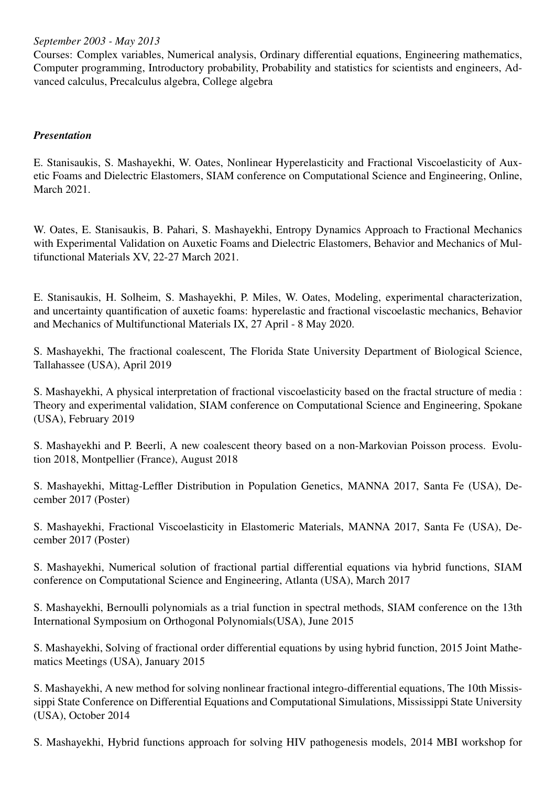*September 2003 - May 2013*

Courses: Complex variables, Numerical analysis, Ordinary differential equations, Engineering mathematics, Computer programming, Introductory probability, Probability and statistics for scientists and engineers, Advanced calculus, Precalculus algebra, College algebra

### *Presentation*

E. Stanisaukis, S. Mashayekhi, W. Oates, Nonlinear Hyperelasticity and Fractional Viscoelasticity of Auxetic Foams and Dielectric Elastomers, SIAM conference on Computational Science and Engineering, Online, March 2021.

W. Oates, E. Stanisaukis, B. Pahari, S. Mashayekhi, Entropy Dynamics Approach to Fractional Mechanics with Experimental Validation on Auxetic Foams and Dielectric Elastomers, Behavior and Mechanics of Multifunctional Materials XV, 22-27 March 2021.

E. Stanisaukis, H. Solheim, S. Mashayekhi, P. Miles, W. Oates, Modeling, experimental characterization, and uncertainty quantification of auxetic foams: hyperelastic and fractional viscoelastic mechanics, Behavior and Mechanics of Multifunctional Materials IX, 27 April - 8 May 2020.

S. Mashayekhi, The fractional coalescent, The Florida State University Department of Biological Science, Tallahassee (USA), April 2019

S. Mashayekhi, A physical interpretation of fractional viscoelasticity based on the fractal structure of media : Theory and experimental validation, SIAM conference on Computational Science and Engineering, Spokane (USA), February 2019

S. Mashayekhi and P. Beerli, A new coalescent theory based on a non-Markovian Poisson process. Evolution 2018, Montpellier (France), August 2018

S. Mashayekhi, Mittag-Leffler Distribution in Population Genetics, MANNA 2017, Santa Fe (USA), December 2017 (Poster)

S. Mashayekhi, Fractional Viscoelasticity in Elastomeric Materials, MANNA 2017, Santa Fe (USA), December 2017 (Poster)

S. Mashayekhi, Numerical solution of fractional partial differential equations via hybrid functions, SIAM conference on Computational Science and Engineering, Atlanta (USA), March 2017

S. Mashayekhi, Bernoulli polynomials as a trial function in spectral methods, SIAM conference on the 13th International Symposium on Orthogonal Polynomials(USA), June 2015

S. Mashayekhi, Solving of fractional order differential equations by using hybrid function, 2015 Joint Mathematics Meetings (USA), January 2015

S. Mashayekhi, A new method for solving nonlinear fractional integro-differential equations, The 10th Mississippi State Conference on Differential Equations and Computational Simulations, Mississippi State University (USA), October 2014

S. Mashayekhi, Hybrid functions approach for solving HIV pathogenesis models, 2014 MBI workshop for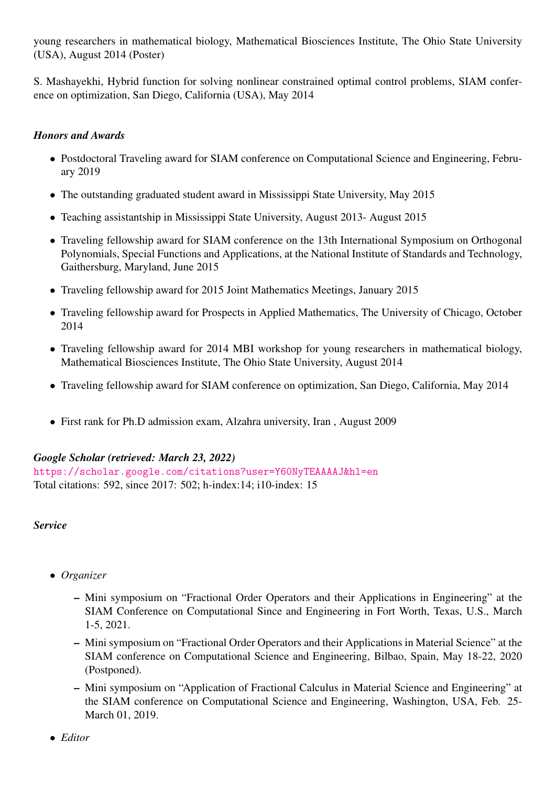young researchers in mathematical biology, Mathematical Biosciences Institute, The Ohio State University (USA), August 2014 (Poster)

S. Mashayekhi, Hybrid function for solving nonlinear constrained optimal control problems, SIAM conference on optimization, San Diego, California (USA), May 2014

## *Honors and Awards*

- Postdoctoral Traveling award for SIAM conference on Computational Science and Engineering, February 2019
- The outstanding graduated student award in Mississippi State University, May 2015
- Teaching assistantship in Mississippi State University, August 2013- August 2015
- Traveling fellowship award for SIAM conference on the 13th International Symposium on Orthogonal Polynomials, Special Functions and Applications, at the National Institute of Standards and Technology, Gaithersburg, Maryland, June 2015
- Traveling fellowship award for 2015 Joint Mathematics Meetings, January 2015
- Traveling fellowship award for Prospects in Applied Mathematics, The University of Chicago, October 2014
- Traveling fellowship award for 2014 MBI workshop for young researchers in mathematical biology, Mathematical Biosciences Institute, The Ohio State University, August 2014
- Traveling fellowship award for SIAM conference on optimization, San Diego, California, May 2014
- First rank for Ph.D admission exam, Alzahra university, Iran , August 2009

## *Google Scholar (retrieved: March 23, 2022)*

<https://scholar.google.com/citations?user=Y60NyTEAAAAJ&hl=en> Total citations: 592, since 2017: 502; h-index:14; i10-index: 15

*Service*

- *Organizer*
	- Mini symposium on "Fractional Order Operators and their Applications in Engineering" at the SIAM Conference on Computational Since and Engineering in Fort Worth, Texas, U.S., March 1-5, 2021.
	- Mini symposium on "Fractional Order Operators and their Applications in Material Science" at the SIAM conference on Computational Science and Engineering, Bilbao, Spain, May 18-22, 2020 (Postponed).
	- Mini symposium on "Application of Fractional Calculus in Material Science and Engineering" at the SIAM conference on Computational Science and Engineering, Washington, USA, Feb. 25- March 01, 2019.
- *Editor*